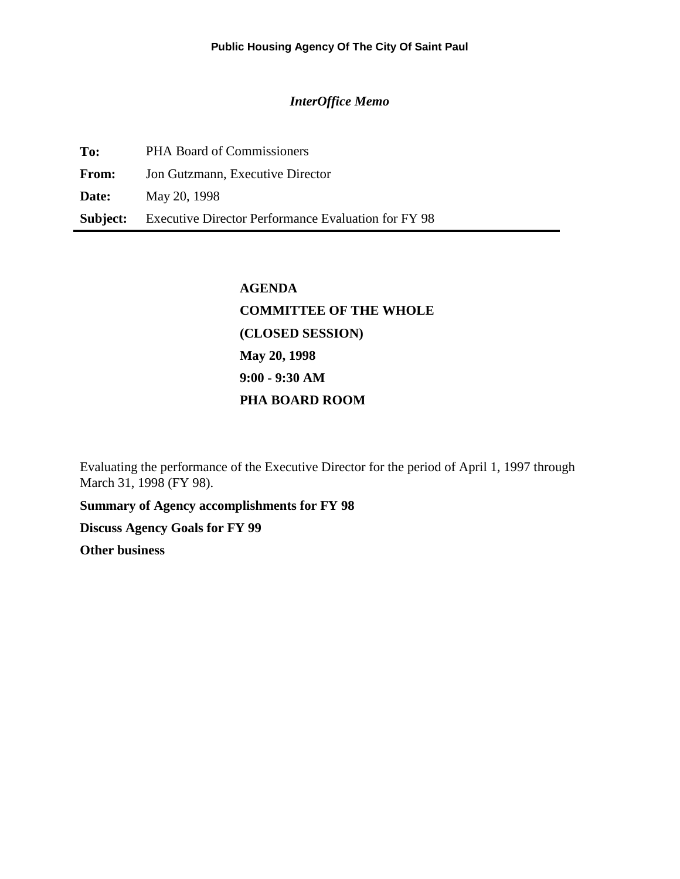#### *InterOffice Memo*

| To: | <b>PHA Board of Commissioners</b>                                   |
|-----|---------------------------------------------------------------------|
|     | <b>From:</b> Jon Gutzmann, Executive Director                       |
|     | <b>Date:</b> May 20, 1998                                           |
|     | <b>Subject:</b> Executive Director Performance Evaluation for FY 98 |

# **AGENDA COMMITTEE OF THE WHOLE (CLOSED SESSION) May 20, 1998 9:00 - 9:30 AM PHA BOARD ROOM**

Evaluating the performance of the Executive Director for the period of April 1, 1997 through March 31, 1998 (FY 98).

**Summary of Agency accomplishments for FY 98**

**Discuss Agency Goals for FY 99**

**Other business**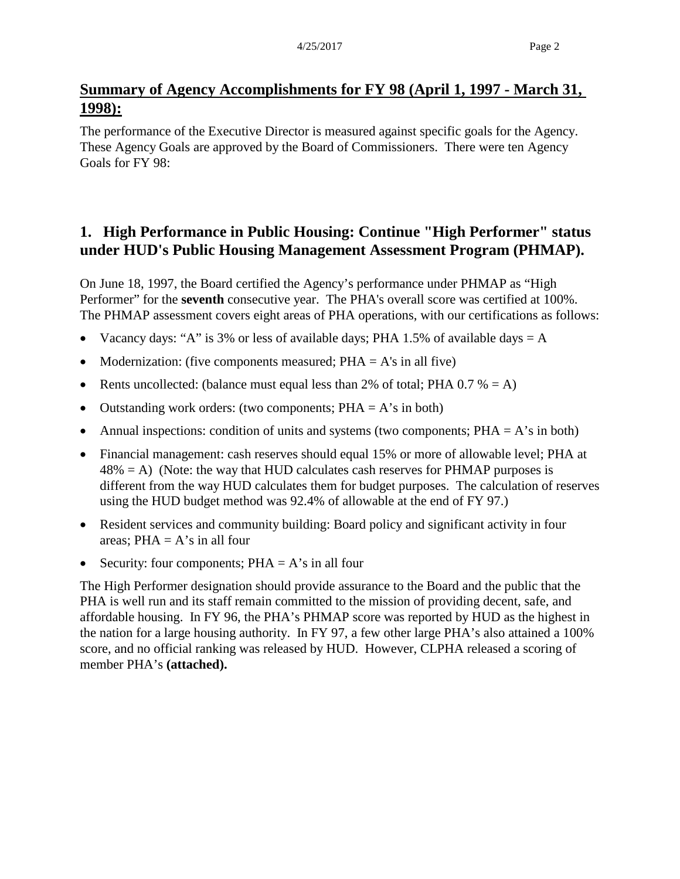## **Summary of Agency Accomplishments for FY 98 (April 1, 1997 - March 31, 1998):**

The performance of the Executive Director is measured against specific goals for the Agency. These Agency Goals are approved by the Board of Commissioners. There were ten Agency Goals for FY 98:

## **1. High Performance in Public Housing: Continue "High Performer" status under HUD's Public Housing Management Assessment Program (PHMAP).**

On June 18, 1997, the Board certified the Agency's performance under PHMAP as "High Performer" for the **seventh** consecutive year. The PHA's overall score was certified at 100%. The PHMAP assessment covers eight areas of PHA operations, with our certifications as follows:

- Vacancy days: "A" is 3% or less of available days; PHA 1.5% of available days  $= A$
- Modernization: (five components measured;  $PHA = A's$  in all five)
- Rents uncollected: (balance must equal less than 2% of total; PHA  $0.7\% = A$ )
- Outstanding work orders: (two components;  $PHA = A's$  in both)
- Annual inspections: condition of units and systems (two components;  $PHA = A$ 's in both)
- Financial management: cash reserves should equal 15% or more of allowable level; PHA at  $48\% = A$ ) (Note: the way that HUD calculates cash reserves for PHMAP purposes is different from the way HUD calculates them for budget purposes. The calculation of reserves using the HUD budget method was 92.4% of allowable at the end of FY 97.)
- Resident services and community building: Board policy and significant activity in four areas:  $PHA = A's$  in all four
- Security: four components;  $PHA = A's$  in all four

The High Performer designation should provide assurance to the Board and the public that the PHA is well run and its staff remain committed to the mission of providing decent, safe, and affordable housing. In FY 96, the PHA's PHMAP score was reported by HUD as the highest in the nation for a large housing authority. In FY 97, a few other large PHA's also attained a 100% score, and no official ranking was released by HUD. However, CLPHA released a scoring of member PHA's **(attached).**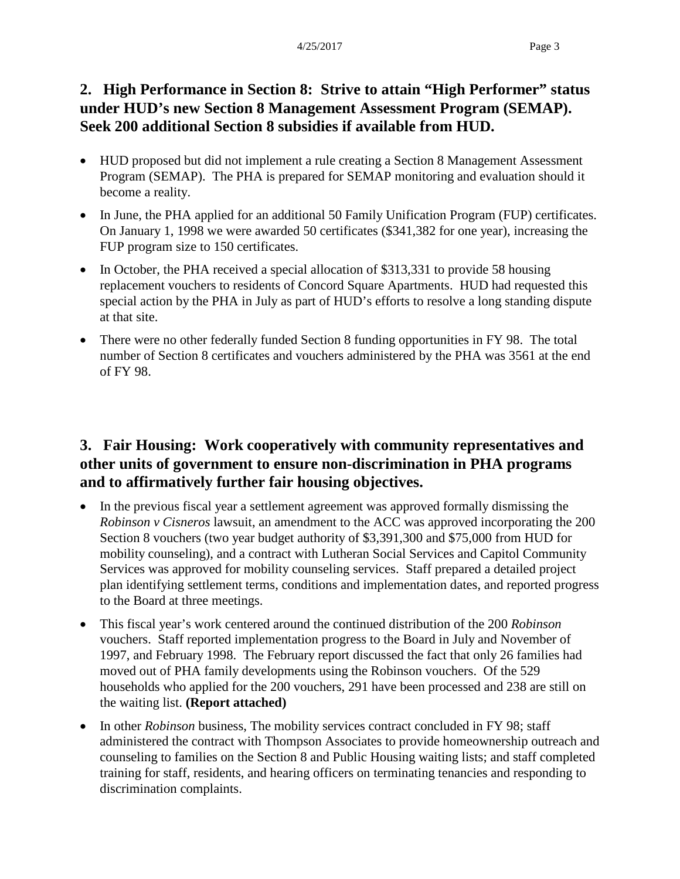## **2. High Performance in Section 8: Strive to attain "High Performer" status under HUD's new Section 8 Management Assessment Program (SEMAP). Seek 200 additional Section 8 subsidies if available from HUD.**

- HUD proposed but did not implement a rule creating a Section 8 Management Assessment Program (SEMAP). The PHA is prepared for SEMAP monitoring and evaluation should it become a reality.
- In June, the PHA applied for an additional 50 Family Unification Program (FUP) certificates. On January 1, 1998 we were awarded 50 certificates (\$341,382 for one year), increasing the FUP program size to 150 certificates.
- In October, the PHA received a special allocation of \$313,331 to provide 58 housing replacement vouchers to residents of Concord Square Apartments. HUD had requested this special action by the PHA in July as part of HUD's efforts to resolve a long standing dispute at that site.
- There were no other federally funded Section 8 funding opportunities in FY 98. The total number of Section 8 certificates and vouchers administered by the PHA was 3561 at the end of FY 98.

## **3. Fair Housing: Work cooperatively with community representatives and other units of government to ensure non-discrimination in PHA programs and to affirmatively further fair housing objectives.**

- In the previous fiscal year a settlement agreement was approved formally dismissing the *Robinson v Cisneros* lawsuit, an amendment to the ACC was approved incorporating the 200 Section 8 vouchers (two year budget authority of \$3,391,300 and \$75,000 from HUD for mobility counseling), and a contract with Lutheran Social Services and Capitol Community Services was approved for mobility counseling services. Staff prepared a detailed project plan identifying settlement terms, conditions and implementation dates, and reported progress to the Board at three meetings.
- This fiscal year's work centered around the continued distribution of the 200 *Robinson* vouchers. Staff reported implementation progress to the Board in July and November of 1997, and February 1998. The February report discussed the fact that only 26 families had moved out of PHA family developments using the Robinson vouchers. Of the 529 households who applied for the 200 vouchers, 291 have been processed and 238 are still on the waiting list. **(Report attached)**
- In other *Robinson* business, The mobility services contract concluded in FY 98; staff administered the contract with Thompson Associates to provide homeownership outreach and counseling to families on the Section 8 and Public Housing waiting lists; and staff completed training for staff, residents, and hearing officers on terminating tenancies and responding to discrimination complaints.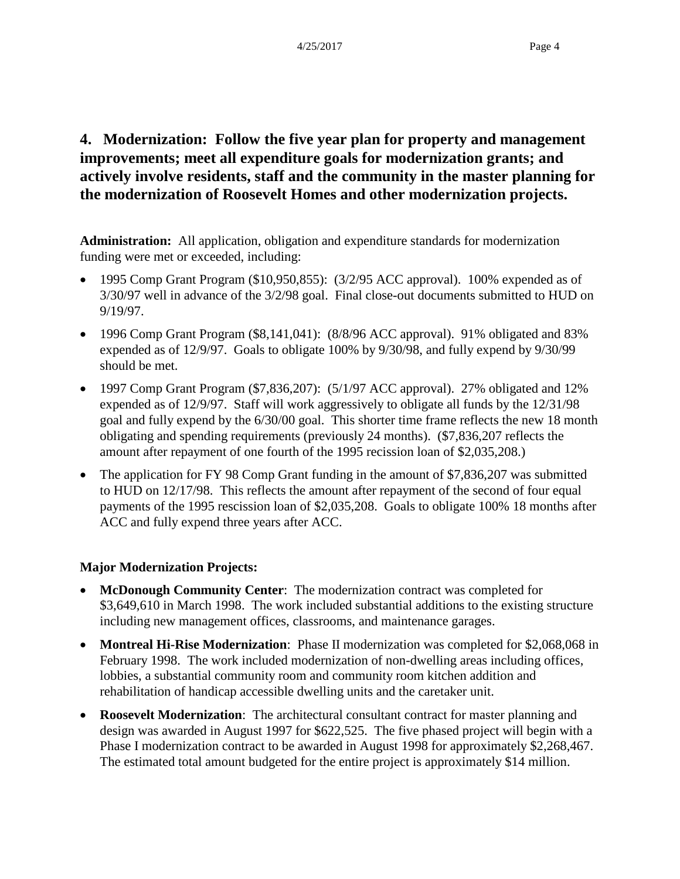## **4. Modernization: Follow the five year plan for property and management improvements; meet all expenditure goals for modernization grants; and actively involve residents, staff and the community in the master planning for the modernization of Roosevelt Homes and other modernization projects.**

**Administration:** All application, obligation and expenditure standards for modernization funding were met or exceeded, including:

- 1995 Comp Grant Program (\$10,950,855): (3/2/95 ACC approval). 100% expended as of 3/30/97 well in advance of the 3/2/98 goal. Final close-out documents submitted to HUD on 9/19/97.
- 1996 Comp Grant Program (\$8,141,041): (8/8/96 ACC approval). 91% obligated and 83% expended as of 12/9/97. Goals to obligate 100% by 9/30/98, and fully expend by 9/30/99 should be met.
- 1997 Comp Grant Program (\$7,836,207): (5/1/97 ACC approval). 27% obligated and 12% expended as of 12/9/97. Staff will work aggressively to obligate all funds by the 12/31/98 goal and fully expend by the 6/30/00 goal. This shorter time frame reflects the new 18 month obligating and spending requirements (previously 24 months). (\$7,836,207 reflects the amount after repayment of one fourth of the 1995 recission loan of \$2,035,208.)
- The application for FY 98 Comp Grant funding in the amount of \$7,836,207 was submitted to HUD on 12/17/98. This reflects the amount after repayment of the second of four equal payments of the 1995 rescission loan of \$2,035,208. Goals to obligate 100% 18 months after ACC and fully expend three years after ACC.

### **Major Modernization Projects:**

- **McDonough Community Center**: The modernization contract was completed for \$3,649,610 in March 1998. The work included substantial additions to the existing structure including new management offices, classrooms, and maintenance garages.
- **Montreal Hi-Rise Modernization**: Phase II modernization was completed for \$2,068,068 in February 1998. The work included modernization of non-dwelling areas including offices, lobbies, a substantial community room and community room kitchen addition and rehabilitation of handicap accessible dwelling units and the caretaker unit.
- **Roosevelt Modernization**: The architectural consultant contract for master planning and design was awarded in August 1997 for \$622,525. The five phased project will begin with a Phase I modernization contract to be awarded in August 1998 for approximately \$2,268,467. The estimated total amount budgeted for the entire project is approximately \$14 million.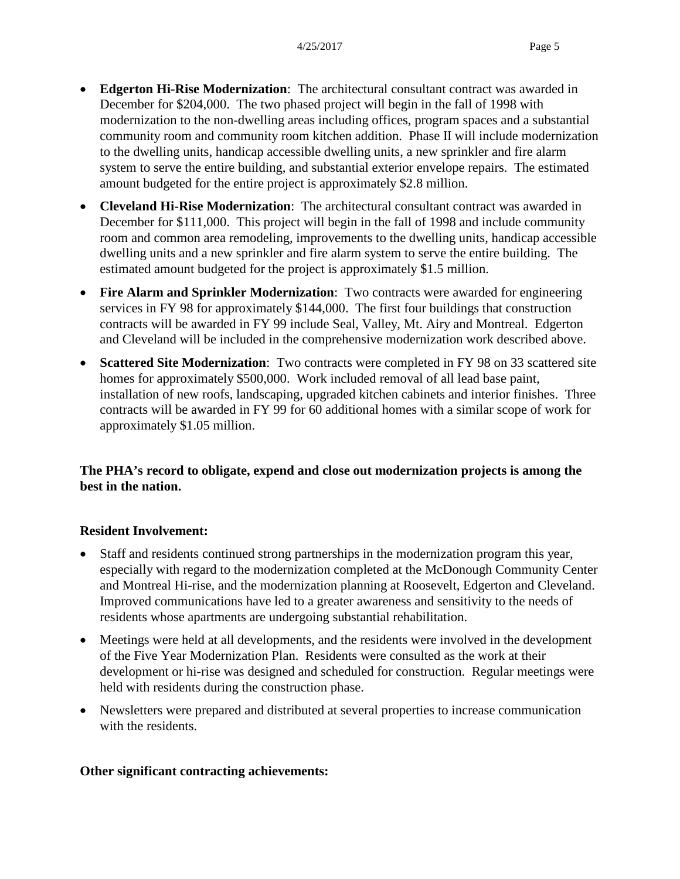- **Edgerton Hi-Rise Modernization**: The architectural consultant contract was awarded in December for \$204,000. The two phased project will begin in the fall of 1998 with modernization to the non-dwelling areas including offices, program spaces and a substantial community room and community room kitchen addition. Phase II will include modernization to the dwelling units, handicap accessible dwelling units, a new sprinkler and fire alarm system to serve the entire building, and substantial exterior envelope repairs. The estimated amount budgeted for the entire project is approximately \$2.8 million.
- **Cleveland Hi-Rise Modernization**: The architectural consultant contract was awarded in December for \$111,000. This project will begin in the fall of 1998 and include community room and common area remodeling, improvements to the dwelling units, handicap accessible dwelling units and a new sprinkler and fire alarm system to serve the entire building. The estimated amount budgeted for the project is approximately \$1.5 million.
- **Fire Alarm and Sprinkler Modernization**: Two contracts were awarded for engineering services in FY 98 for approximately \$144,000. The first four buildings that construction contracts will be awarded in FY 99 include Seal, Valley, Mt. Airy and Montreal. Edgerton and Cleveland will be included in the comprehensive modernization work described above.
- **Scattered Site Modernization**: Two contracts were completed in FY 98 on 33 scattered site homes for approximately \$500,000. Work included removal of all lead base paint, installation of new roofs, landscaping, upgraded kitchen cabinets and interior finishes. Three contracts will be awarded in FY 99 for 60 additional homes with a similar scope of work for approximately \$1.05 million.

#### **The PHA's record to obligate, expend and close out modernization projects is among the best in the nation.**

#### **Resident Involvement:**

- Staff and residents continued strong partnerships in the modernization program this year, especially with regard to the modernization completed at the McDonough Community Center and Montreal Hi-rise, and the modernization planning at Roosevelt, Edgerton and Cleveland. Improved communications have led to a greater awareness and sensitivity to the needs of residents whose apartments are undergoing substantial rehabilitation.
- Meetings were held at all developments, and the residents were involved in the development of the Five Year Modernization Plan. Residents were consulted as the work at their development or hi-rise was designed and scheduled for construction. Regular meetings were held with residents during the construction phase.
- Newsletters were prepared and distributed at several properties to increase communication with the residents.

#### **Other significant contracting achievements:**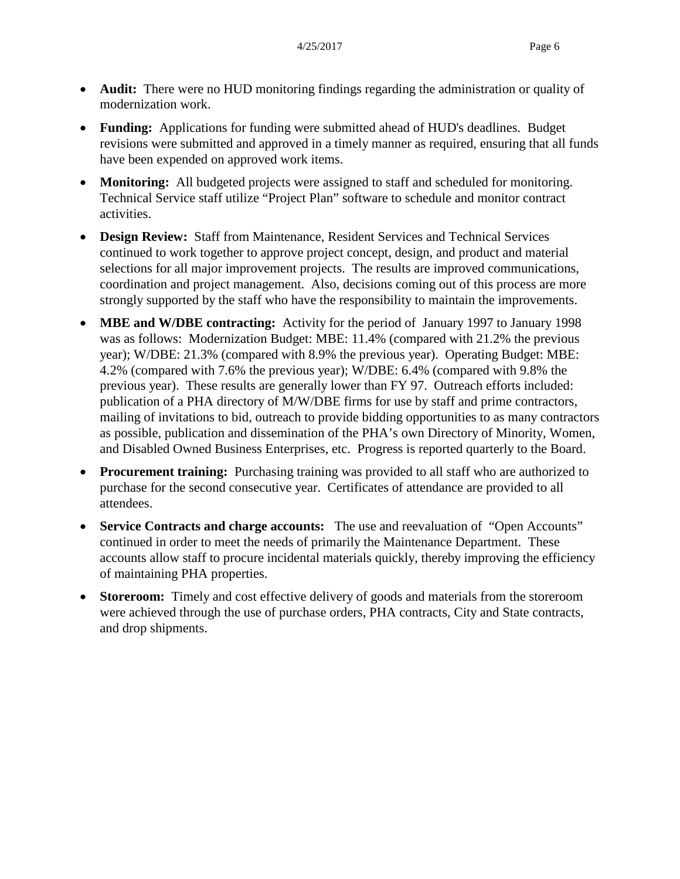- **Audit:** There were no HUD monitoring findings regarding the administration or quality of modernization work.
- **Funding:** Applications for funding were submitted ahead of HUD's deadlines. Budget revisions were submitted and approved in a timely manner as required, ensuring that all funds have been expended on approved work items.
- **Monitoring:** All budgeted projects were assigned to staff and scheduled for monitoring. Technical Service staff utilize "Project Plan" software to schedule and monitor contract activities.
- **Design Review:** Staff from Maintenance, Resident Services and Technical Services continued to work together to approve project concept, design, and product and material selections for all major improvement projects. The results are improved communications, coordination and project management. Also, decisions coming out of this process are more strongly supported by the staff who have the responsibility to maintain the improvements.
- **MBE and W/DBE contracting:** Activity for the period of January 1997 to January 1998 was as follows: Modernization Budget: MBE: 11.4% (compared with 21.2% the previous year); W/DBE: 21.3% (compared with 8.9% the previous year). Operating Budget: MBE: 4.2% (compared with 7.6% the previous year); W/DBE: 6.4% (compared with 9.8% the previous year). These results are generally lower than FY 97. Outreach efforts included: publication of a PHA directory of M/W/DBE firms for use by staff and prime contractors, mailing of invitations to bid, outreach to provide bidding opportunities to as many contractors as possible, publication and dissemination of the PHA's own Directory of Minority, Women, and Disabled Owned Business Enterprises, etc. Progress is reported quarterly to the Board.
- **Procurement training:** Purchasing training was provided to all staff who are authorized to purchase for the second consecutive year. Certificates of attendance are provided to all attendees.
- **Service Contracts and charge accounts:** The use and reevaluation of "Open Accounts" continued in order to meet the needs of primarily the Maintenance Department. These accounts allow staff to procure incidental materials quickly, thereby improving the efficiency of maintaining PHA properties.
- **Storeroom:** Timely and cost effective delivery of goods and materials from the storeroom were achieved through the use of purchase orders, PHA contracts, City and State contracts, and drop shipments.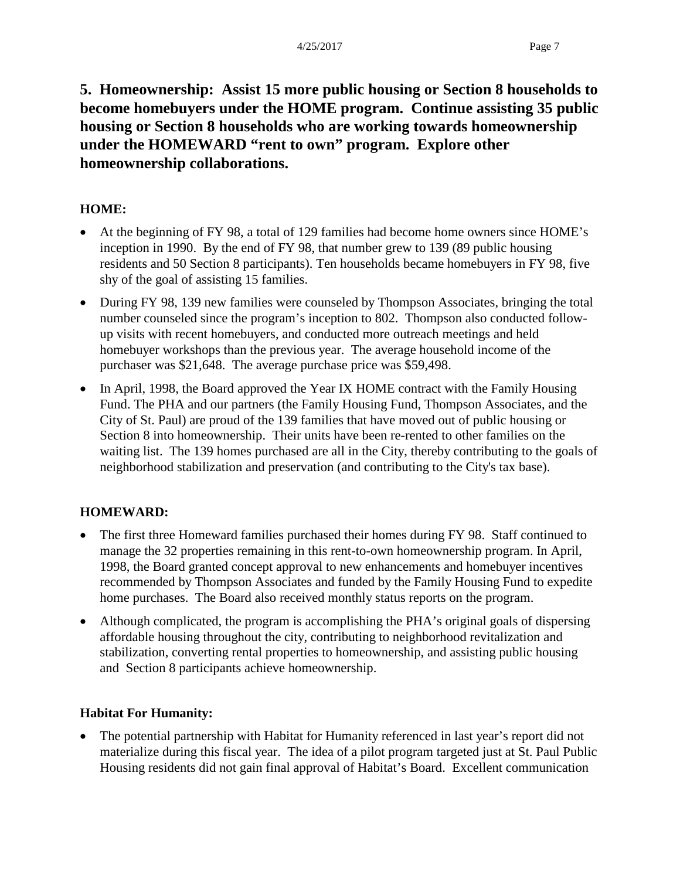**5. Homeownership: Assist 15 more public housing or Section 8 households to become homebuyers under the HOME program. Continue assisting 35 public housing or Section 8 households who are working towards homeownership under the HOMEWARD "rent to own" program. Explore other homeownership collaborations.**

### **HOME:**

- At the beginning of FY 98, a total of 129 families had become home owners since HOME's inception in 1990. By the end of FY 98, that number grew to 139 (89 public housing residents and 50 Section 8 participants). Ten households became homebuyers in FY 98, five shy of the goal of assisting 15 families.
- During FY 98, 139 new families were counseled by Thompson Associates, bringing the total number counseled since the program's inception to 802. Thompson also conducted followup visits with recent homebuyers, and conducted more outreach meetings and held homebuyer workshops than the previous year. The average household income of the purchaser was \$21,648. The average purchase price was \$59,498.
- In April, 1998, the Board approved the Year IX HOME contract with the Family Housing Fund. The PHA and our partners (the Family Housing Fund, Thompson Associates, and the City of St. Paul) are proud of the 139 families that have moved out of public housing or Section 8 into homeownership. Their units have been re-rented to other families on the waiting list. The 139 homes purchased are all in the City, thereby contributing to the goals of neighborhood stabilization and preservation (and contributing to the City's tax base).

### **HOMEWARD:**

- The first three Homeward families purchased their homes during FY 98. Staff continued to manage the 32 properties remaining in this rent-to-own homeownership program. In April, 1998, the Board granted concept approval to new enhancements and homebuyer incentives recommended by Thompson Associates and funded by the Family Housing Fund to expedite home purchases. The Board also received monthly status reports on the program.
- Although complicated, the program is accomplishing the PHA's original goals of dispersing affordable housing throughout the city, contributing to neighborhood revitalization and stabilization, converting rental properties to homeownership, and assisting public housing and Section 8 participants achieve homeownership.

### **Habitat For Humanity:**

• The potential partnership with Habitat for Humanity referenced in last year's report did not materialize during this fiscal year. The idea of a pilot program targeted just at St. Paul Public Housing residents did not gain final approval of Habitat's Board. Excellent communication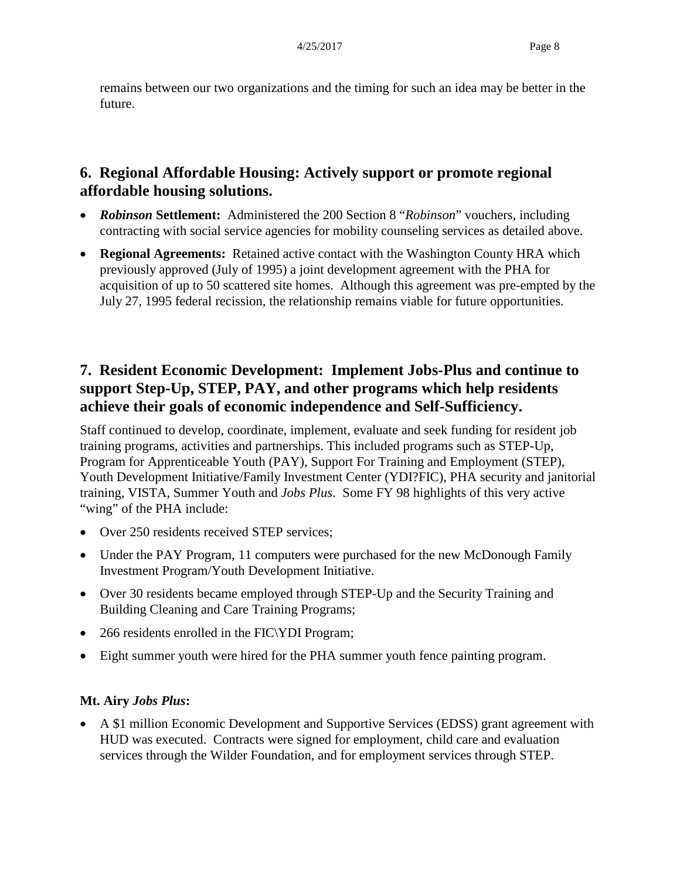remains between our two organizations and the timing for such an idea may be better in the future.

## **6. Regional Affordable Housing: Actively support or promote regional affordable housing solutions.**

- *Robinson* **Settlement:** Administered the 200 Section 8 "*Robinson*" vouchers, including contracting with social service agencies for mobility counseling services as detailed above.
- **Regional Agreements:** Retained active contact with the Washington County HRA which previously approved (July of 1995) a joint development agreement with the PHA for acquisition of up to 50 scattered site homes. Although this agreement was pre-empted by the July 27, 1995 federal recission, the relationship remains viable for future opportunities.

## **7. Resident Economic Development: Implement Jobs-Plus and continue to support Step-Up, STEP, PAY, and other programs which help residents achieve their goals of economic independence and Self-Sufficiency.**

Staff continued to develop, coordinate, implement, evaluate and seek funding for resident job training programs, activities and partnerships. This included programs such as STEP-Up, Program for Apprenticeable Youth (PAY), Support For Training and Employment (STEP), Youth Development Initiative/Family Investment Center (YDI?FIC), PHA security and janitorial training, VISTA, Summer Youth and *Jobs Plus*. Some FY 98 highlights of this very active "wing" of the PHA include:

- Over 250 residents received STEP services;
- Under the PAY Program, 11 computers were purchased for the new McDonough Family Investment Program/Youth Development Initiative.
- Over 30 residents became employed through STEP-Up and the Security Training and Building Cleaning and Care Training Programs;
- 266 residents enrolled in the FIC\YDI Program;
- Eight summer youth were hired for the PHA summer youth fence painting program.

### **Mt. Airy** *Jobs Plus***:**

• A \$1 million Economic Development and Supportive Services (EDSS) grant agreement with HUD was executed. Contracts were signed for employment, child care and evaluation services through the Wilder Foundation, and for employment services through STEP.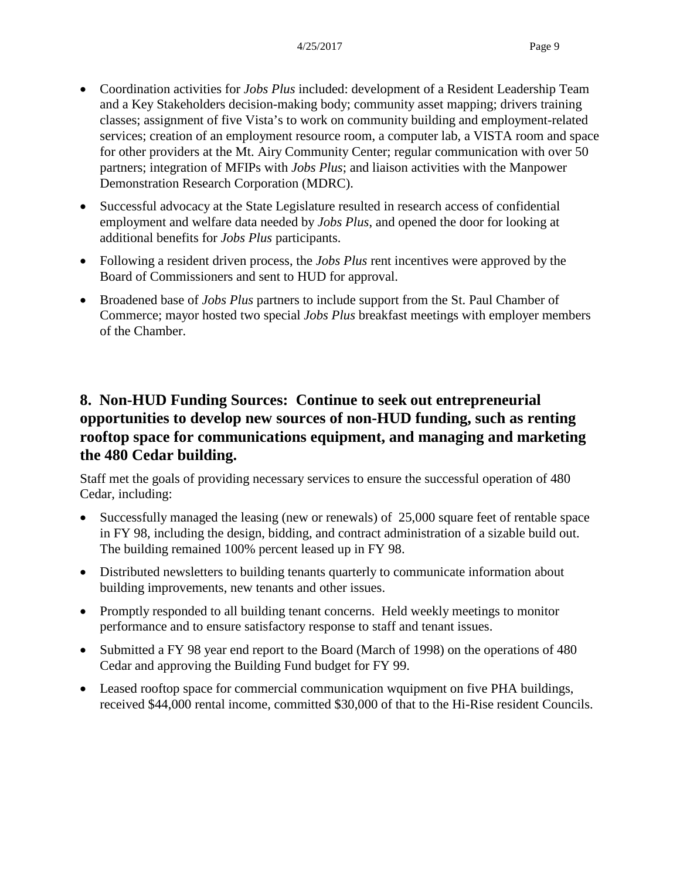- Coordination activities for *Jobs Plus* included: development of a Resident Leadership Team and a Key Stakeholders decision-making body; community asset mapping; drivers training classes; assignment of five Vista's to work on community building and employment-related services; creation of an employment resource room, a computer lab, a VISTA room and space for other providers at the Mt. Airy Community Center; regular communication with over 50 partners; integration of MFIPs with *Jobs Plus*; and liaison activities with the Manpower Demonstration Research Corporation (MDRC).
- Successful advocacy at the State Legislature resulted in research access of confidential employment and welfare data needed by *Jobs Plus*, and opened the door for looking at additional benefits for *Jobs Plus* participants.
- Following a resident driven process, the *Jobs Plus* rent incentives were approved by the Board of Commissioners and sent to HUD for approval.
- Broadened base of *Jobs Plus* partners to include support from the St. Paul Chamber of Commerce; mayor hosted two special *Jobs Plus* breakfast meetings with employer members of the Chamber.

## **8. Non-HUD Funding Sources: Continue to seek out entrepreneurial opportunities to develop new sources of non-HUD funding, such as renting rooftop space for communications equipment, and managing and marketing the 480 Cedar building.**

Staff met the goals of providing necessary services to ensure the successful operation of 480 Cedar, including:

- Successfully managed the leasing (new or renewals) of 25,000 square feet of rentable space in FY 98, including the design, bidding, and contract administration of a sizable build out. The building remained 100% percent leased up in FY 98.
- Distributed newsletters to building tenants quarterly to communicate information about building improvements, new tenants and other issues.
- Promptly responded to all building tenant concerns. Held weekly meetings to monitor performance and to ensure satisfactory response to staff and tenant issues.
- Submitted a FY 98 year end report to the Board (March of 1998) on the operations of 480 Cedar and approving the Building Fund budget for FY 99.
- Leased rooftop space for commercial communication wquipment on five PHA buildings, received \$44,000 rental income, committed \$30,000 of that to the Hi-Rise resident Councils.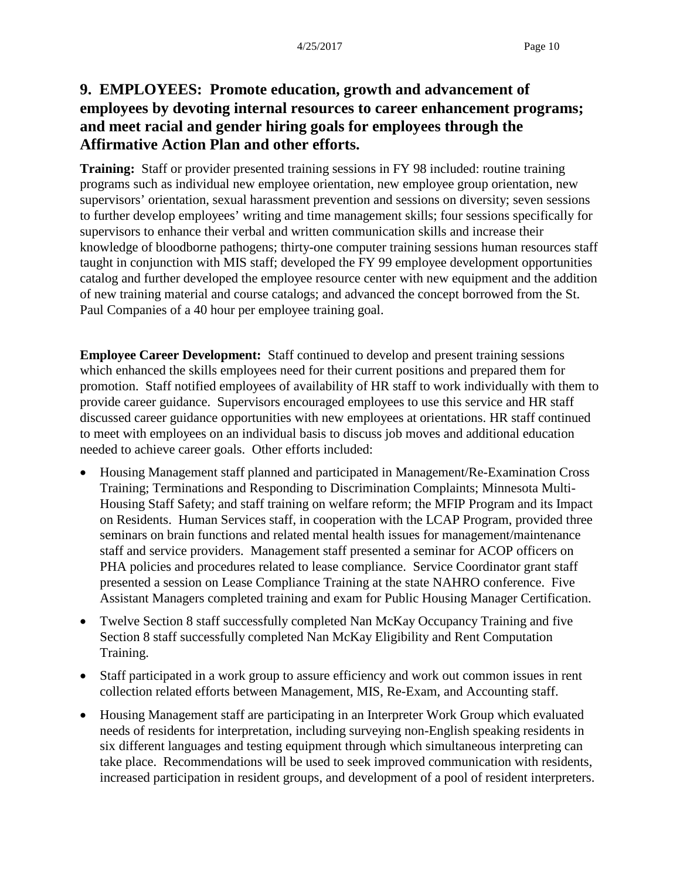## **9. EMPLOYEES: Promote education, growth and advancement of employees by devoting internal resources to career enhancement programs; and meet racial and gender hiring goals for employees through the Affirmative Action Plan and other efforts.**

**Training:** Staff or provider presented training sessions in FY 98 included: routine training programs such as individual new employee orientation, new employee group orientation, new supervisors' orientation, sexual harassment prevention and sessions on diversity; seven sessions to further develop employees' writing and time management skills; four sessions specifically for supervisors to enhance their verbal and written communication skills and increase their knowledge of bloodborne pathogens; thirty-one computer training sessions human resources staff taught in conjunction with MIS staff; developed the FY 99 employee development opportunities catalog and further developed the employee resource center with new equipment and the addition of new training material and course catalogs; and advanced the concept borrowed from the St. Paul Companies of a 40 hour per employee training goal.

**Employee Career Development:** Staff continued to develop and present training sessions which enhanced the skills employees need for their current positions and prepared them for promotion. Staff notified employees of availability of HR staff to work individually with them to provide career guidance. Supervisors encouraged employees to use this service and HR staff discussed career guidance opportunities with new employees at orientations. HR staff continued to meet with employees on an individual basis to discuss job moves and additional education needed to achieve career goals. Other efforts included:

- Housing Management staff planned and participated in Management/Re-Examination Cross Training; Terminations and Responding to Discrimination Complaints; Minnesota Multi-Housing Staff Safety; and staff training on welfare reform; the MFIP Program and its Impact on Residents. Human Services staff, in cooperation with the LCAP Program, provided three seminars on brain functions and related mental health issues for management/maintenance staff and service providers. Management staff presented a seminar for ACOP officers on PHA policies and procedures related to lease compliance. Service Coordinator grant staff presented a session on Lease Compliance Training at the state NAHRO conference. Five Assistant Managers completed training and exam for Public Housing Manager Certification.
- Twelve Section 8 staff successfully completed Nan McKay Occupancy Training and five Section 8 staff successfully completed Nan McKay Eligibility and Rent Computation Training.
- Staff participated in a work group to assure efficiency and work out common issues in rent collection related efforts between Management, MIS, Re-Exam, and Accounting staff.
- Housing Management staff are participating in an Interpreter Work Group which evaluated needs of residents for interpretation, including surveying non-English speaking residents in six different languages and testing equipment through which simultaneous interpreting can take place. Recommendations will be used to seek improved communication with residents, increased participation in resident groups, and development of a pool of resident interpreters.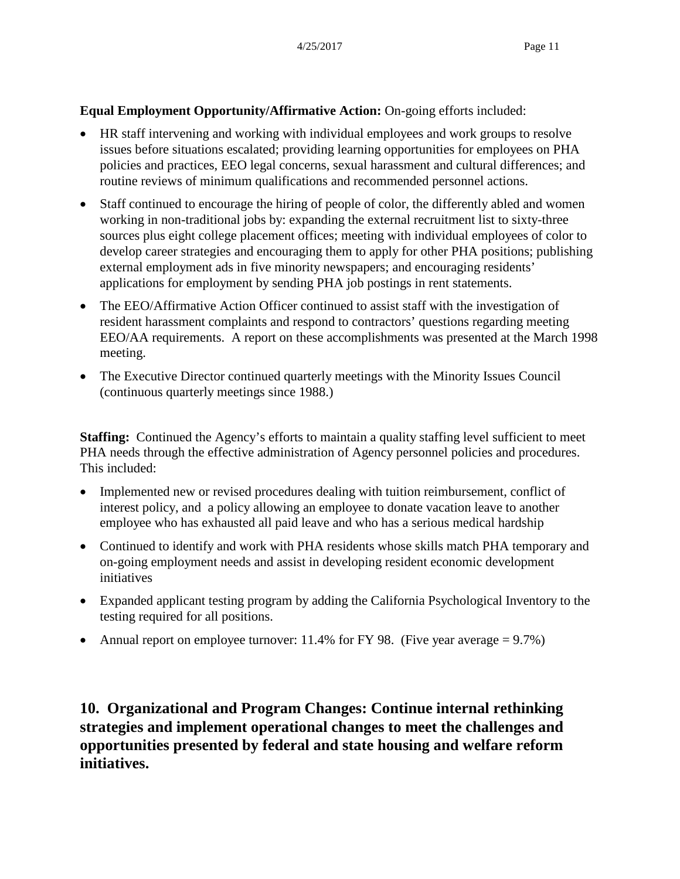#### **Equal Employment Opportunity/Affirmative Action:** On-going efforts included:

- HR staff intervening and working with individual employees and work groups to resolve issues before situations escalated; providing learning opportunities for employees on PHA policies and practices, EEO legal concerns, sexual harassment and cultural differences; and routine reviews of minimum qualifications and recommended personnel actions.
- Staff continued to encourage the hiring of people of color, the differently abled and women working in non-traditional jobs by: expanding the external recruitment list to sixty-three sources plus eight college placement offices; meeting with individual employees of color to develop career strategies and encouraging them to apply for other PHA positions; publishing external employment ads in five minority newspapers; and encouraging residents' applications for employment by sending PHA job postings in rent statements.
- The EEO/Affirmative Action Officer continued to assist staff with the investigation of resident harassment complaints and respond to contractors' questions regarding meeting EEO/AA requirements. A report on these accomplishments was presented at the March 1998 meeting.
- The Executive Director continued quarterly meetings with the Minority Issues Council (continuous quarterly meetings since 1988.)

**Staffing:** Continued the Agency's efforts to maintain a quality staffing level sufficient to meet PHA needs through the effective administration of Agency personnel policies and procedures. This included:

- Implemented new or revised procedures dealing with tuition reimbursement, conflict of interest policy, and a policy allowing an employee to donate vacation leave to another employee who has exhausted all paid leave and who has a serious medical hardship
- Continued to identify and work with PHA residents whose skills match PHA temporary and on-going employment needs and assist in developing resident economic development initiatives
- Expanded applicant testing program by adding the California Psychological Inventory to the testing required for all positions.
- Annual report on employee turnover: 11.4% for FY 98. (Five year average  $= 9.7\%$ )

**10. Organizational and Program Changes: Continue internal rethinking strategies and implement operational changes to meet the challenges and opportunities presented by federal and state housing and welfare reform initiatives.**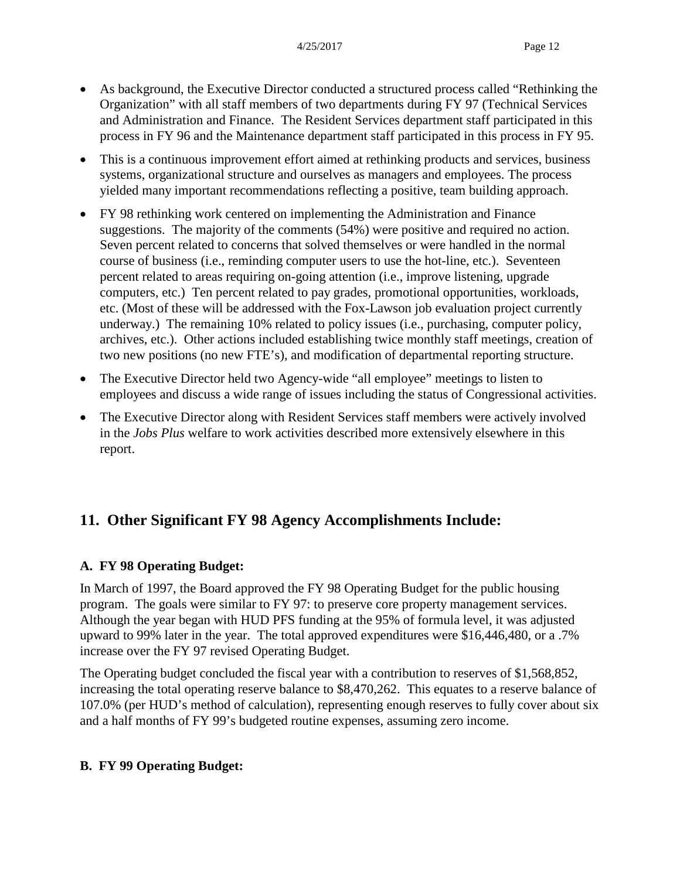- As background, the Executive Director conducted a structured process called "Rethinking the Organization" with all staff members of two departments during FY 97 (Technical Services and Administration and Finance. The Resident Services department staff participated in this process in FY 96 and the Maintenance department staff participated in this process in FY 95.
- This is a continuous improvement effort aimed at rethinking products and services, business systems, organizational structure and ourselves as managers and employees. The process yielded many important recommendations reflecting a positive, team building approach.
- FY 98 rethinking work centered on implementing the Administration and Finance suggestions. The majority of the comments (54%) were positive and required no action. Seven percent related to concerns that solved themselves or were handled in the normal course of business (i.e., reminding computer users to use the hot-line, etc.). Seventeen percent related to areas requiring on-going attention (i.e., improve listening, upgrade computers, etc.) Ten percent related to pay grades, promotional opportunities, workloads, etc. (Most of these will be addressed with the Fox-Lawson job evaluation project currently underway.) The remaining 10% related to policy issues (i.e., purchasing, computer policy, archives, etc.). Other actions included establishing twice monthly staff meetings, creation of two new positions (no new FTE's), and modification of departmental reporting structure.
- The Executive Director held two Agency-wide "all employee" meetings to listen to employees and discuss a wide range of issues including the status of Congressional activities.
- The Executive Director along with Resident Services staff members were actively involved in the *Jobs Plus* welfare to work activities described more extensively elsewhere in this report.

## **11. Other Significant FY 98 Agency Accomplishments Include:**

### **A. FY 98 Operating Budget:**

In March of 1997, the Board approved the FY 98 Operating Budget for the public housing program. The goals were similar to FY 97: to preserve core property management services. Although the year began with HUD PFS funding at the 95% of formula level, it was adjusted upward to 99% later in the year. The total approved expenditures were \$16,446,480, or a .7% increase over the FY 97 revised Operating Budget.

The Operating budget concluded the fiscal year with a contribution to reserves of \$1,568,852, increasing the total operating reserve balance to \$8,470,262. This equates to a reserve balance of 107.0% (per HUD's method of calculation), representing enough reserves to fully cover about six and a half months of FY 99's budgeted routine expenses, assuming zero income.

### **B. FY 99 Operating Budget:**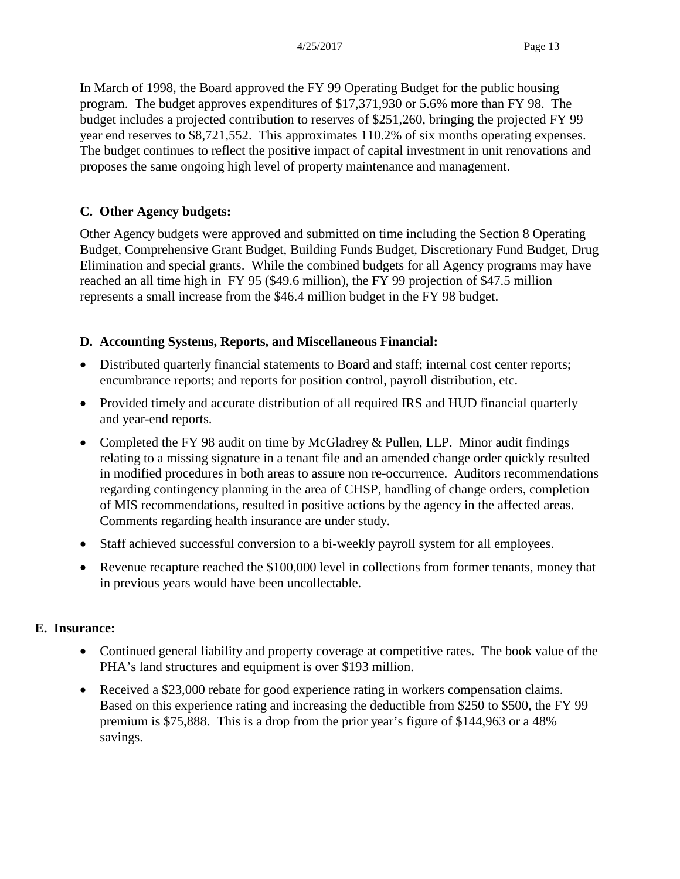In March of 1998, the Board approved the FY 99 Operating Budget for the public housing program. The budget approves expenditures of \$17,371,930 or 5.6% more than FY 98. The budget includes a projected contribution to reserves of \$251,260, bringing the projected FY 99 year end reserves to \$8,721,552. This approximates 110.2% of six months operating expenses. The budget continues to reflect the positive impact of capital investment in unit renovations and proposes the same ongoing high level of property maintenance and management.

### **C. Other Agency budgets:**

Other Agency budgets were approved and submitted on time including the Section 8 Operating Budget, Comprehensive Grant Budget, Building Funds Budget, Discretionary Fund Budget, Drug Elimination and special grants. While the combined budgets for all Agency programs may have reached an all time high in FY 95 (\$49.6 million), the FY 99 projection of \$47.5 million represents a small increase from the \$46.4 million budget in the FY 98 budget.

### **D. Accounting Systems, Reports, and Miscellaneous Financial:**

- Distributed quarterly financial statements to Board and staff; internal cost center reports; encumbrance reports; and reports for position control, payroll distribution, etc.
- Provided timely and accurate distribution of all required IRS and HUD financial quarterly and year-end reports.
- Completed the FY 98 audit on time by McGladrey & Pullen, LLP. Minor audit findings relating to a missing signature in a tenant file and an amended change order quickly resulted in modified procedures in both areas to assure non re-occurrence. Auditors recommendations regarding contingency planning in the area of CHSP, handling of change orders, completion of MIS recommendations, resulted in positive actions by the agency in the affected areas. Comments regarding health insurance are under study.
- Staff achieved successful conversion to a bi-weekly payroll system for all employees.
- Revenue recapture reached the \$100,000 level in collections from former tenants, money that in previous years would have been uncollectable.

### **E. Insurance:**

- Continued general liability and property coverage at competitive rates. The book value of the PHA's land structures and equipment is over \$193 million.
- Received a \$23,000 rebate for good experience rating in workers compensation claims. Based on this experience rating and increasing the deductible from \$250 to \$500, the FY 99 premium is \$75,888. This is a drop from the prior year's figure of \$144,963 or a 48% savings.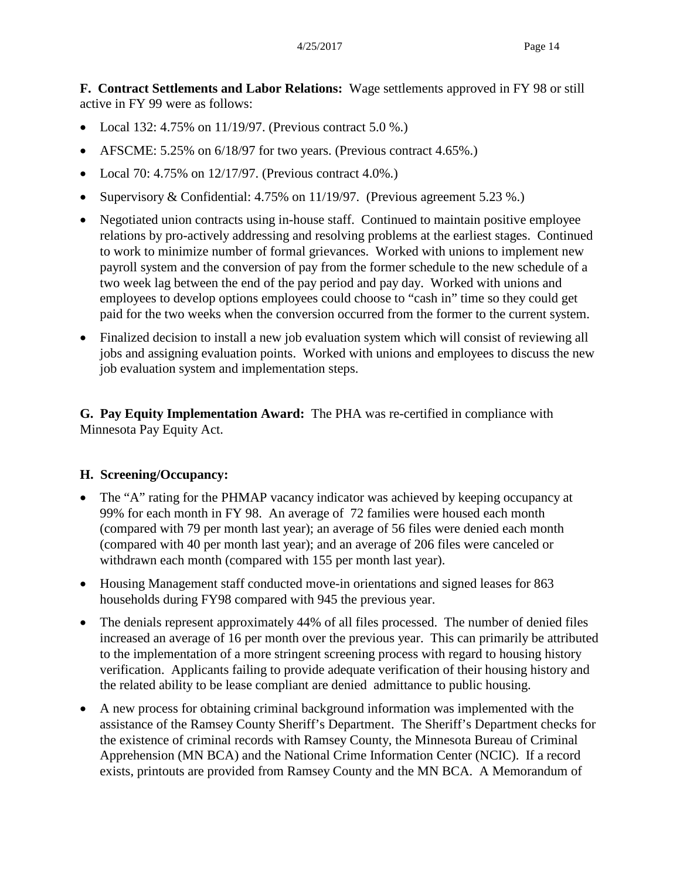**F. Contract Settlements and Labor Relations:** Wage settlements approved in FY 98 or still active in FY 99 were as follows:

- Local 132: 4.75% on 11/19/97. (Previous contract 5.0 %.)
- AFSCME: 5.25% on 6/18/97 for two years. (Previous contract 4.65%.)
- Local 70: 4.75% on  $12/17/97$ . (Previous contract 4.0%.)
- Supervisory & Confidential: 4.75% on 11/19/97. (Previous agreement 5.23 %.)
- Negotiated union contracts using in-house staff. Continued to maintain positive employee relations by pro-actively addressing and resolving problems at the earliest stages. Continued to work to minimize number of formal grievances. Worked with unions to implement new payroll system and the conversion of pay from the former schedule to the new schedule of a two week lag between the end of the pay period and pay day. Worked with unions and employees to develop options employees could choose to "cash in" time so they could get paid for the two weeks when the conversion occurred from the former to the current system.
- Finalized decision to install a new job evaluation system which will consist of reviewing all jobs and assigning evaluation points. Worked with unions and employees to discuss the new job evaluation system and implementation steps.

**G. Pay Equity Implementation Award:** The PHA was re-certified in compliance with Minnesota Pay Equity Act.

### **H. Screening/Occupancy:**

- The "A" rating for the PHMAP vacancy indicator was achieved by keeping occupancy at 99% for each month in FY 98. An average of 72 families were housed each month (compared with 79 per month last year); an average of 56 files were denied each month (compared with 40 per month last year); and an average of 206 files were canceled or withdrawn each month (compared with 155 per month last year).
- Housing Management staff conducted move-in orientations and signed leases for 863 households during FY98 compared with 945 the previous year.
- The denials represent approximately 44% of all files processed. The number of denied files increased an average of 16 per month over the previous year. This can primarily be attributed to the implementation of a more stringent screening process with regard to housing history verification. Applicants failing to provide adequate verification of their housing history and the related ability to be lease compliant are denied admittance to public housing.
- A new process for obtaining criminal background information was implemented with the assistance of the Ramsey County Sheriff's Department. The Sheriff's Department checks for the existence of criminal records with Ramsey County, the Minnesota Bureau of Criminal Apprehension (MN BCA) and the National Crime Information Center (NCIC). If a record exists, printouts are provided from Ramsey County and the MN BCA. A Memorandum of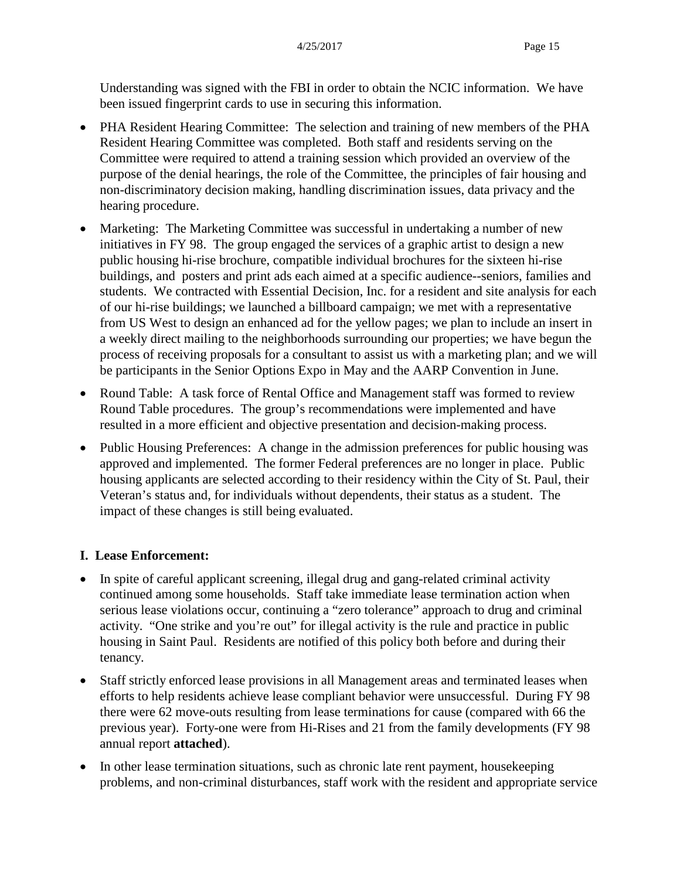Understanding was signed with the FBI in order to obtain the NCIC information. We have been issued fingerprint cards to use in securing this information.

- PHA Resident Hearing Committee: The selection and training of new members of the PHA Resident Hearing Committee was completed. Both staff and residents serving on the Committee were required to attend a training session which provided an overview of the purpose of the denial hearings, the role of the Committee, the principles of fair housing and non-discriminatory decision making, handling discrimination issues, data privacy and the hearing procedure.
- Marketing: The Marketing Committee was successful in undertaking a number of new initiatives in FY 98. The group engaged the services of a graphic artist to design a new public housing hi-rise brochure, compatible individual brochures for the sixteen hi-rise buildings, and posters and print ads each aimed at a specific audience--seniors, families and students. We contracted with Essential Decision, Inc. for a resident and site analysis for each of our hi-rise buildings; we launched a billboard campaign; we met with a representative from US West to design an enhanced ad for the yellow pages; we plan to include an insert in a weekly direct mailing to the neighborhoods surrounding our properties; we have begun the process of receiving proposals for a consultant to assist us with a marketing plan; and we will be participants in the Senior Options Expo in May and the AARP Convention in June.
- Round Table: A task force of Rental Office and Management staff was formed to review Round Table procedures. The group's recommendations were implemented and have resulted in a more efficient and objective presentation and decision-making process.
- Public Housing Preferences: A change in the admission preferences for public housing was approved and implemented. The former Federal preferences are no longer in place. Public housing applicants are selected according to their residency within the City of St. Paul, their Veteran's status and, for individuals without dependents, their status as a student. The impact of these changes is still being evaluated.

### **I. Lease Enforcement:**

- In spite of careful applicant screening, illegal drug and gang-related criminal activity continued among some households. Staff take immediate lease termination action when serious lease violations occur, continuing a "zero tolerance" approach to drug and criminal activity. "One strike and you're out" for illegal activity is the rule and practice in public housing in Saint Paul. Residents are notified of this policy both before and during their tenancy.
- Staff strictly enforced lease provisions in all Management areas and terminated leases when efforts to help residents achieve lease compliant behavior were unsuccessful. During FY 98 there were 62 move-outs resulting from lease terminations for cause (compared with 66 the previous year). Forty-one were from Hi-Rises and 21 from the family developments (FY 98 annual report **attached**).
- In other lease termination situations, such as chronic late rent payment, housekeeping problems, and non-criminal disturbances, staff work with the resident and appropriate service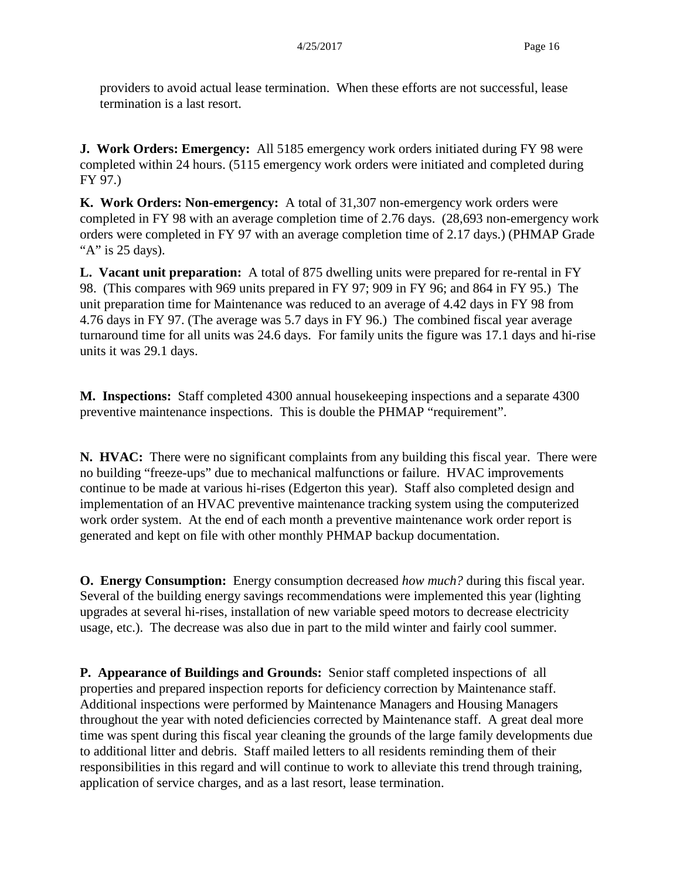providers to avoid actual lease termination. When these efforts are not successful, lease termination is a last resort.

**J. Work Orders: Emergency:** All 5185 emergency work orders initiated during FY 98 were completed within 24 hours. (5115 emergency work orders were initiated and completed during FY 97.)

**K. Work Orders: Non-emergency:** A total of 31,307 non-emergency work orders were completed in FY 98 with an average completion time of 2.76 days. (28,693 non-emergency work orders were completed in FY 97 with an average completion time of 2.17 days.) (PHMAP Grade "A" is 25 days).

**L. Vacant unit preparation:** A total of 875 dwelling units were prepared for re-rental in FY 98. (This compares with 969 units prepared in FY 97; 909 in FY 96; and 864 in FY 95.) The unit preparation time for Maintenance was reduced to an average of 4.42 days in FY 98 from 4.76 days in FY 97. (The average was 5.7 days in FY 96.)The combined fiscal year average turnaround time for all units was 24.6 days. For family units the figure was 17.1 days and hi-rise units it was 29.1 days.

**M. Inspections:** Staff completed 4300 annual housekeeping inspections and a separate 4300 preventive maintenance inspections. This is double the PHMAP "requirement".

**N. HVAC:** There were no significant complaints from any building this fiscal year. There were no building "freeze-ups" due to mechanical malfunctions or failure. HVAC improvements continue to be made at various hi-rises (Edgerton this year). Staff also completed design and implementation of an HVAC preventive maintenance tracking system using the computerized work order system. At the end of each month a preventive maintenance work order report is generated and kept on file with other monthly PHMAP backup documentation.

**O. Energy Consumption:** Energy consumption decreased *how much?* during this fiscal year. Several of the building energy savings recommendations were implemented this year (lighting upgrades at several hi-rises, installation of new variable speed motors to decrease electricity usage, etc.). The decrease was also due in part to the mild winter and fairly cool summer.

**P. Appearance of Buildings and Grounds:** Senior staff completed inspections of all properties and prepared inspection reports for deficiency correction by Maintenance staff. Additional inspections were performed by Maintenance Managers and Housing Managers throughout the year with noted deficiencies corrected by Maintenance staff. A great deal more time was spent during this fiscal year cleaning the grounds of the large family developments due to additional litter and debris. Staff mailed letters to all residents reminding them of their responsibilities in this regard and will continue to work to alleviate this trend through training, application of service charges, and as a last resort, lease termination.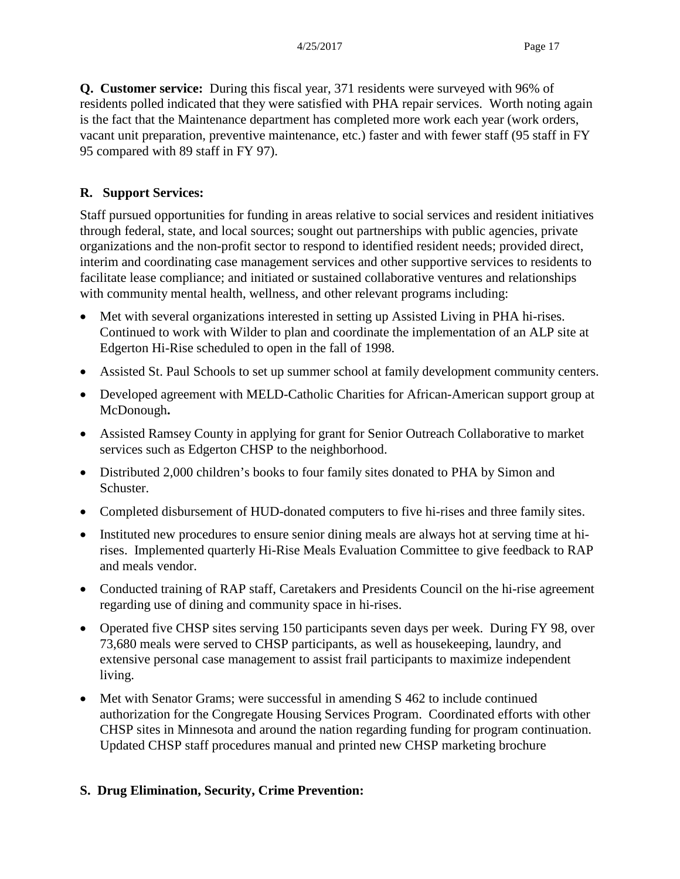**Q. Customer service:** During this fiscal year, 371 residents were surveyed with 96% of residents polled indicated that they were satisfied with PHA repair services. Worth noting again is the fact that the Maintenance department has completed more work each year (work orders, vacant unit preparation, preventive maintenance, etc.) faster and with fewer staff (95 staff in FY 95 compared with 89 staff in FY 97).

### **R. Support Services:**

Staff pursued opportunities for funding in areas relative to social services and resident initiatives through federal, state, and local sources; sought out partnerships with public agencies, private organizations and the non-profit sector to respond to identified resident needs; provided direct, interim and coordinating case management services and other supportive services to residents to facilitate lease compliance; and initiated or sustained collaborative ventures and relationships with community mental health, wellness, and other relevant programs including:

- Met with several organizations interested in setting up Assisted Living in PHA hi-rises. Continued to work with Wilder to plan and coordinate the implementation of an ALP site at Edgerton Hi-Rise scheduled to open in the fall of 1998.
- Assisted St. Paul Schools to set up summer school at family development community centers.
- Developed agreement with MELD-Catholic Charities for African-American support group at McDonough**.**
- Assisted Ramsey County in applying for grant for Senior Outreach Collaborative to market services such as Edgerton CHSP to the neighborhood.
- Distributed 2,000 children's books to four family sites donated to PHA by Simon and Schuster.
- Completed disbursement of HUD-donated computers to five hi-rises and three family sites.
- Instituted new procedures to ensure senior dining meals are always hot at serving time at hirises.Implemented quarterly Hi-Rise Meals Evaluation Committee to give feedback to RAP and meals vendor.
- Conducted training of RAP staff, Caretakers and Presidents Council on the hi-rise agreement regarding use of dining and community space in hi-rises.
- Operated five CHSP sites serving 150 participants seven days per week. During FY 98, over 73,680 meals were served to CHSP participants, as well as housekeeping, laundry, and extensive personal case management to assist frail participants to maximize independent living.
- Met with Senator Grams; were successful in amending S 462 to include continued authorization for the Congregate Housing Services Program. Coordinated efforts with other CHSP sites in Minnesota and around the nation regarding funding for program continuation. Updated CHSP staff procedures manual and printed new CHSP marketing brochure

### **S. Drug Elimination, Security, Crime Prevention:**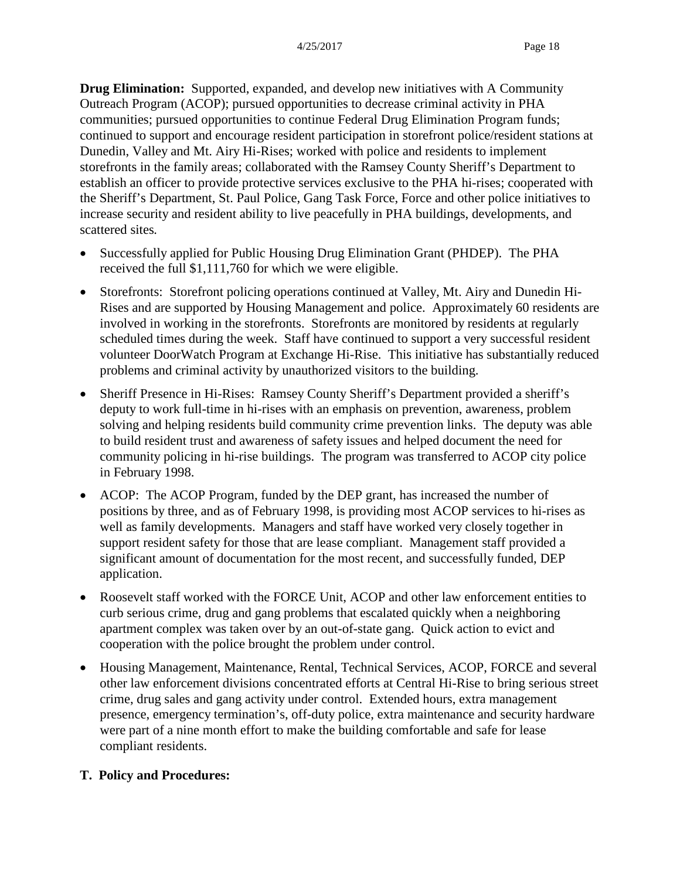**Drug Elimination:** Supported, expanded, and develop new initiatives with A Community Outreach Program (ACOP); pursued opportunities to decrease criminal activity in PHA communities; pursued opportunities to continue Federal Drug Elimination Program funds; continued to support and encourage resident participation in storefront police/resident stations at Dunedin, Valley and Mt. Airy Hi-Rises; worked with police and residents to implement storefronts in the family areas; collaborated with the Ramsey County Sheriff's Department to establish an officer to provide protective services exclusive to the PHA hi-rises; cooperated with the Sheriff's Department, St. Paul Police, Gang Task Force, Force and other police initiatives to increase security and resident ability to live peacefully in PHA buildings, developments, and scattered sites*.*

- Successfully applied for Public Housing Drug Elimination Grant (PHDEP). The PHA received the full \$1,111,760 for which we were eligible.
- Storefronts: Storefront policing operations continued at Valley, Mt. Airy and Dunedin Hi-Rises and are supported by Housing Management and police. Approximately 60 residents are involved in working in the storefronts. Storefronts are monitored by residents at regularly scheduled times during the week. Staff have continued to support a very successful resident volunteer DoorWatch Program at Exchange Hi-Rise. This initiative has substantially reduced problems and criminal activity by unauthorized visitors to the building.
- Sheriff Presence in Hi-Rises:Ramsey County Sheriff's Department provided a sheriff's deputy to work full-time in hi-rises with an emphasis on prevention, awareness, problem solving and helping residents build community crime prevention links. The deputy was able to build resident trust and awareness of safety issues and helped document the need for community policing in hi-rise buildings. The program was transferred to ACOP city police in February 1998.
- ACOP: The ACOP Program, funded by the DEP grant, has increased the number of positions by three, and as of February 1998, is providing most ACOP services to hi-rises as well as family developments. Managers and staff have worked very closely together in support resident safety for those that are lease compliant. Management staff provided a significant amount of documentation for the most recent, and successfully funded, DEP application.
- Roosevelt staff worked with the FORCE Unit, ACOP and other law enforcement entities to curb serious crime, drug and gang problems that escalated quickly when a neighboring apartment complex was taken over by an out-of-state gang. Quick action to evict and cooperation with the police brought the problem under control.
- Housing Management, Maintenance, Rental, Technical Services, ACOP, FORCE and several other law enforcement divisions concentrated efforts at Central Hi-Rise to bring serious street crime, drug sales and gang activity under control. Extended hours, extra management presence, emergency termination's, off-duty police, extra maintenance and security hardware were part of a nine month effort to make the building comfortable and safe for lease compliant residents.

### **T. Policy and Procedures:**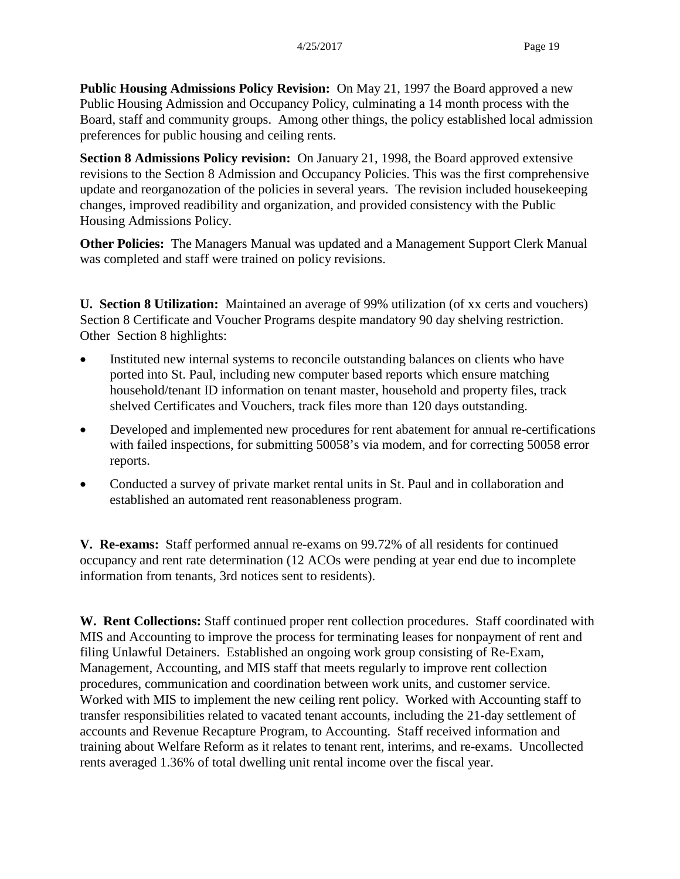**Public Housing Admissions Policy Revision:** On May 21, 1997 the Board approved a new Public Housing Admission and Occupancy Policy, culminating a 14 month process with the Board, staff and community groups. Among other things, the policy established local admission preferences for public housing and ceiling rents.

**Section 8 Admissions Policy revision:** On January 21, 1998, the Board approved extensive revisions to the Section 8 Admission and Occupancy Policies. This was the first comprehensive update and reorganozation of the policies in several years. The revision included housekeeping changes, improved readibility and organization, and provided consistency with the Public Housing Admissions Policy.

**Other Policies:** The Managers Manual was updated and a Management Support Clerk Manual was completed and staff were trained on policy revisions.

**U. Section 8 Utilization:** Maintained an average of 99% utilization (of xx certs and vouchers) Section 8 Certificate and Voucher Programs despite mandatory 90 day shelving restriction. Other Section 8 highlights:

- Instituted new internal systems to reconcile outstanding balances on clients who have ported into St. Paul, including new computer based reports which ensure matching household/tenant ID information on tenant master, household and property files, track shelved Certificates and Vouchers, track files more than 120 days outstanding.
- Developed and implemented new procedures for rent abatement for annual re-certifications with failed inspections, for submitting 50058's via modem, and for correcting 50058 error reports.
- Conducted a survey of private market rental units in St. Paul and in collaboration and established an automated rent reasonableness program.

**V. Re-exams:** Staff performed annual re-exams on 99.72% of all residents for continued occupancy and rent rate determination (12 ACOs were pending at year end due to incomplete information from tenants, 3rd notices sent to residents).

**W. Rent Collections:** Staff continued proper rent collection procedures. Staff coordinated with MIS and Accounting to improve the process for terminating leases for nonpayment of rent and filing Unlawful Detainers. Established an ongoing work group consisting of Re-Exam, Management, Accounting, and MIS staff that meets regularly to improve rent collection procedures, communication and coordination between work units, and customer service. Worked with MIS to implement the new ceiling rent policy. Worked with Accounting staff to transfer responsibilities related to vacated tenant accounts, including the 21-day settlement of accounts and Revenue Recapture Program, to Accounting. Staff received information and training about Welfare Reform as it relates to tenant rent, interims, and re-exams. Uncollected rents averaged 1.36% of total dwelling unit rental income over the fiscal year.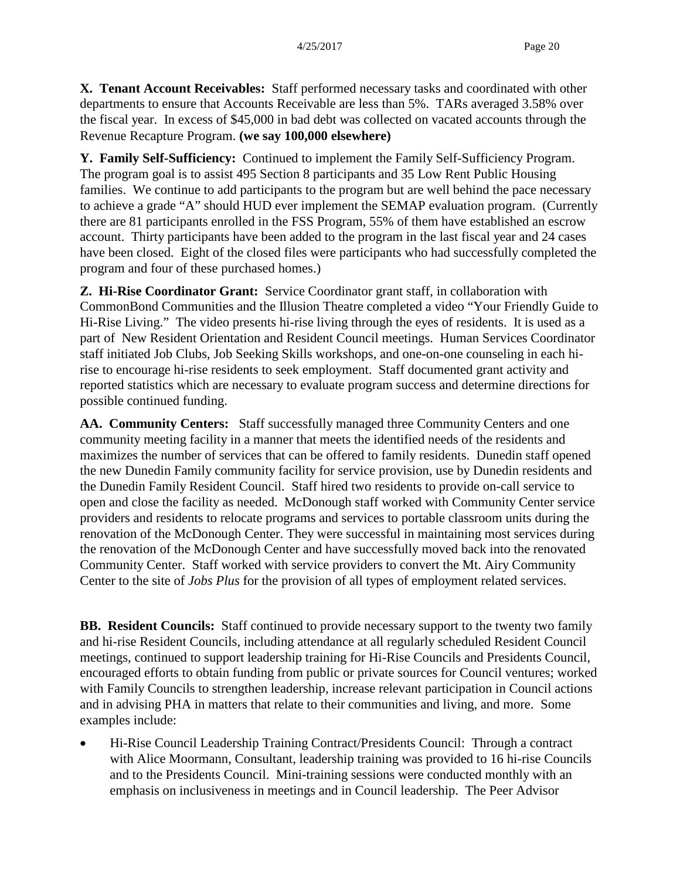**X. Tenant Account Receivables:** Staff performed necessary tasks and coordinated with other departments to ensure that Accounts Receivable are less than 5%. TARs averaged 3.58% over the fiscal year. In excess of \$45,000 in bad debt was collected on vacated accounts through the Revenue Recapture Program. **(we say 100,000 elsewhere)**

**Y. Family Self-Sufficiency:** Continued to implement the Family Self-Sufficiency Program. The program goal is to assist 495 Section 8 participants and 35 Low Rent Public Housing families. We continue to add participants to the program but are well behind the pace necessary to achieve a grade "A" should HUD ever implement the SEMAP evaluation program. (Currently there are 81 participants enrolled in the FSS Program, 55% of them have established an escrow account. Thirty participants have been added to the program in the last fiscal year and 24 cases have been closed. Eight of the closed files were participants who had successfully completed the program and four of these purchased homes.)

**Z. Hi-Rise Coordinator Grant:** Service Coordinator grant staff, in collaboration with CommonBond Communities and the Illusion Theatre completed a video "Your Friendly Guide to Hi-Rise Living." The video presents hi-rise living through the eyes of residents. It is used as a part of New Resident Orientation and Resident Council meetings. Human Services Coordinator staff initiated Job Clubs, Job Seeking Skills workshops, and one-on-one counseling in each hirise to encourage hi-rise residents to seek employment. Staff documented grant activity and reported statistics which are necessary to evaluate program success and determine directions for possible continued funding.

**AA. Community Centers:** Staff successfully managed three Community Centers and one community meeting facility in a manner that meets the identified needs of the residents and maximizes the number of services that can be offered to family residents. Dunedin staff opened the new Dunedin Family community facility for service provision, use by Dunedin residents and the Dunedin Family Resident Council. Staff hired two residents to provide on-call service to open and close the facility as needed. McDonough staff worked with Community Center service providers and residents to relocate programs and services to portable classroom units during the renovation of the McDonough Center. They were successful in maintaining most services during the renovation of the McDonough Center and have successfully moved back into the renovated Community Center. Staff worked with service providers to convert the Mt. Airy Community Center to the site of *Jobs Plus* for the provision of all types of employment related services.

**BB. Resident Councils:** Staff continued to provide necessary support to the twenty two family and hi-rise Resident Councils, including attendance at all regularly scheduled Resident Council meetings, continued to support leadership training for Hi-Rise Councils and Presidents Council, encouraged efforts to obtain funding from public or private sources for Council ventures; worked with Family Councils to strengthen leadership, increase relevant participation in Council actions and in advising PHA in matters that relate to their communities and living, and more. Some examples include:

• Hi-Rise Council Leadership Training Contract/Presidents Council: Through a contract with Alice Moormann, Consultant, leadership training was provided to 16 hi-rise Councils and to the Presidents Council. Mini-training sessions were conducted monthly with an emphasis on inclusiveness in meetings and in Council leadership. The Peer Advisor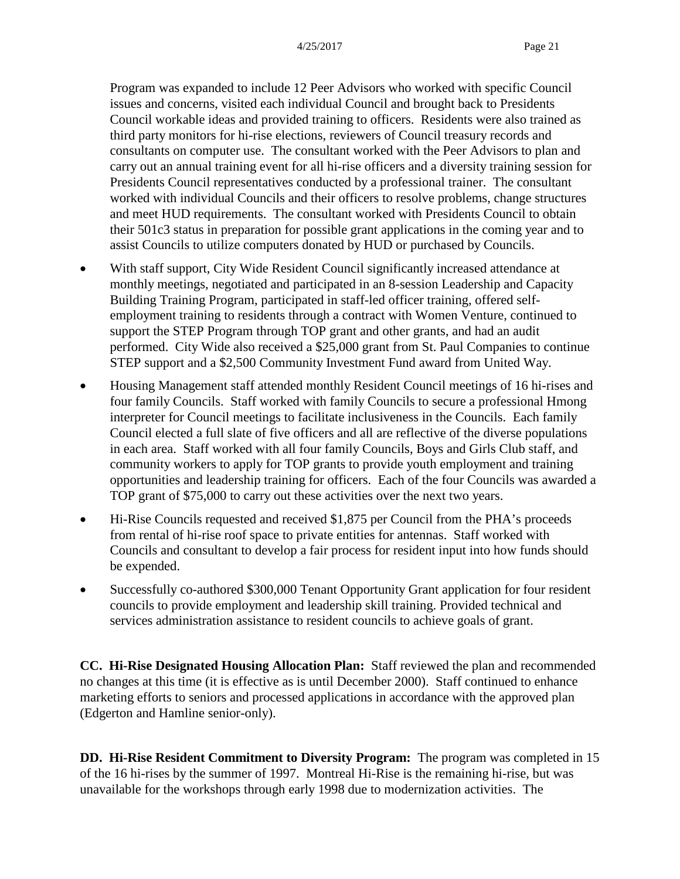Program was expanded to include 12 Peer Advisors who worked with specific Council issues and concerns, visited each individual Council and brought back to Presidents Council workable ideas and provided training to officers. Residents were also trained as third party monitors for hi-rise elections, reviewers of Council treasury records and consultants on computer use. The consultant worked with the Peer Advisors to plan and carry out an annual training event for all hi-rise officers and a diversity training session for Presidents Council representatives conducted by a professional trainer. The consultant worked with individual Councils and their officers to resolve problems, change structures and meet HUD requirements. The consultant worked with Presidents Council to obtain their 501c3 status in preparation for possible grant applications in the coming year and to assist Councils to utilize computers donated by HUD or purchased by Councils.

- With staff support, City Wide Resident Council significantly increased attendance at monthly meetings, negotiated and participated in an 8-session Leadership and Capacity Building Training Program, participated in staff-led officer training, offered selfemployment training to residents through a contract with Women Venture, continued to support the STEP Program through TOP grant and other grants, and had an audit performed. City Wide also received a \$25,000 grant from St. Paul Companies to continue STEP support and a \$2,500 Community Investment Fund award from United Way.
- Housing Management staff attended monthly Resident Council meetings of 16 hi-rises and four family Councils. Staff worked with family Councils to secure a professional Hmong interpreter for Council meetings to facilitate inclusiveness in the Councils. Each family Council elected a full slate of five officers and all are reflective of the diverse populations in each area. Staff worked with all four family Councils, Boys and Girls Club staff, and community workers to apply for TOP grants to provide youth employment and training opportunities and leadership training for officers. Each of the four Councils was awarded a TOP grant of \$75,000 to carry out these activities over the next two years.
- Hi-Rise Councils requested and received \$1,875 per Council from the PHA's proceeds from rental of hi-rise roof space to private entities for antennas. Staff worked with Councils and consultant to develop a fair process for resident input into how funds should be expended.
- Successfully co-authored \$300,000 Tenant Opportunity Grant application for four resident councils to provide employment and leadership skill training. Provided technical and services administration assistance to resident councils to achieve goals of grant.

**CC. Hi-Rise Designated Housing Allocation Plan:** Staff reviewed the plan and recommended no changes at this time (it is effective as is until December 2000). Staff continued to enhance marketing efforts to seniors and processed applications in accordance with the approved plan (Edgerton and Hamline senior-only).

**DD. Hi-Rise Resident Commitment to Diversity Program:** The program was completed in 15 of the 16 hi-rises by the summer of 1997. Montreal Hi-Rise is the remaining hi-rise, but was unavailable for the workshops through early 1998 due to modernization activities. The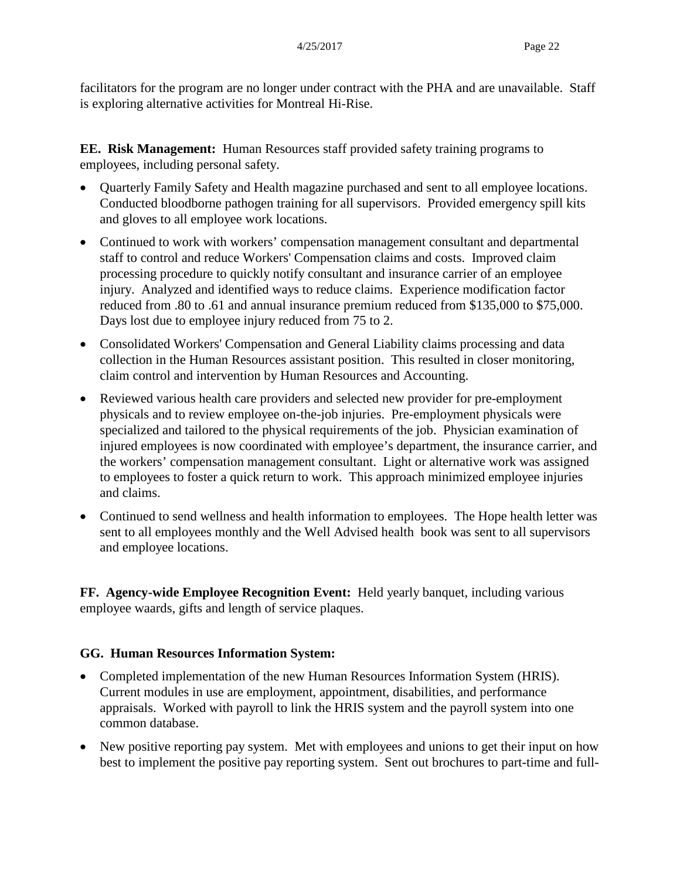facilitators for the program are no longer under contract with the PHA and are unavailable. Staff is exploring alternative activities for Montreal Hi-Rise.

**EE. Risk Management:** Human Resources staff provided safety training programs to employees, including personal safety.

- Quarterly Family Safety and Health magazine purchased and sent to all employee locations. Conducted bloodborne pathogen training for all supervisors. Provided emergency spill kits and gloves to all employee work locations.
- Continued to work with workers' compensation management consultant and departmental staff to control and reduce Workers' Compensation claims and costs. Improved claim processing procedure to quickly notify consultant and insurance carrier of an employee injury. Analyzed and identified ways to reduce claims. Experience modification factor reduced from .80 to .61 and annual insurance premium reduced from \$135,000 to \$75,000. Days lost due to employee injury reduced from 75 to 2.
- Consolidated Workers' Compensation and General Liability claims processing and data collection in the Human Resources assistant position. This resulted in closer monitoring, claim control and intervention by Human Resources and Accounting.
- Reviewed various health care providers and selected new provider for pre-employment physicals and to review employee on-the-job injuries. Pre-employment physicals were specialized and tailored to the physical requirements of the job. Physician examination of injured employees is now coordinated with employee's department, the insurance carrier, and the workers' compensation management consultant. Light or alternative work was assigned to employees to foster a quick return to work. This approach minimized employee injuries and claims.
- Continued to send wellness and health information to employees. The Hope health letter was sent to all employees monthly and the Well Advised health book was sent to all supervisors and employee locations.

**FF. Agency-wide Employee Recognition Event:** Held yearly banquet, including various employee waards, gifts and length of service plaques.

### **GG. Human Resources Information System:**

- Completed implementation of the new Human Resources Information System (HRIS). Current modules in use are employment, appointment, disabilities, and performance appraisals. Worked with payroll to link the HRIS system and the payroll system into one common database.
- New positive reporting pay system. Met with employees and unions to get their input on how best to implement the positive pay reporting system. Sent out brochures to part-time and full-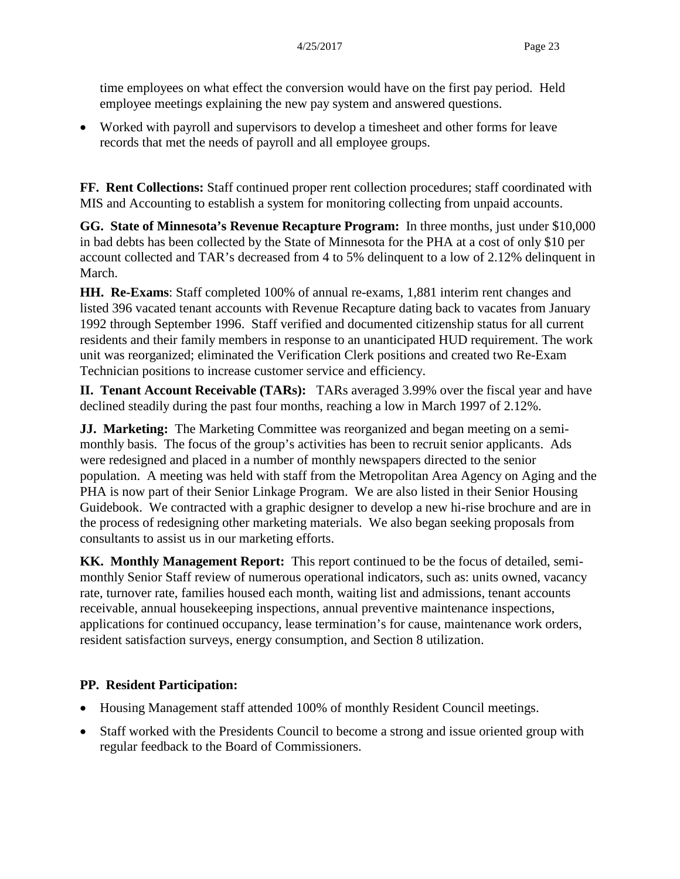time employees on what effect the conversion would have on the first pay period. Held employee meetings explaining the new pay system and answered questions.

• Worked with payroll and supervisors to develop a timesheet and other forms for leave records that met the needs of payroll and all employee groups.

**FF. Rent Collections:** Staff continued proper rent collection procedures; staff coordinated with MIS and Accounting to establish a system for monitoring collecting from unpaid accounts.

**GG. State of Minnesota's Revenue Recapture Program:** In three months, just under \$10,000 in bad debts has been collected by the State of Minnesota for the PHA at a cost of only \$10 per account collected and TAR's decreased from 4 to 5% delinquent to a low of 2.12% delinquent in March.

**HH. Re-Exams**: Staff completed 100% of annual re-exams, 1,881 interim rent changes and listed 396 vacated tenant accounts with Revenue Recapture dating back to vacates from January 1992 through September 1996. Staff verified and documented citizenship status for all current residents and their family members in response to an unanticipated HUD requirement. The work unit was reorganized; eliminated the Verification Clerk positions and created two Re-Exam Technician positions to increase customer service and efficiency.

**II. Tenant Account Receivable (TARs):** TARs averaged 3.99% over the fiscal year and have declined steadily during the past four months, reaching a low in March 1997 of 2.12%.

**JJ. Marketing:** The Marketing Committee was reorganized and began meeting on a semimonthly basis. The focus of the group's activities has been to recruit senior applicants. Ads were redesigned and placed in a number of monthly newspapers directed to the senior population. A meeting was held with staff from the Metropolitan Area Agency on Aging and the PHA is now part of their Senior Linkage Program. We are also listed in their Senior Housing Guidebook. We contracted with a graphic designer to develop a new hi-rise brochure and are in the process of redesigning other marketing materials. We also began seeking proposals from consultants to assist us in our marketing efforts.

**KK. Monthly Management Report:** This report continued to be the focus of detailed, semimonthly Senior Staff review of numerous operational indicators, such as: units owned, vacancy rate, turnover rate, families housed each month, waiting list and admissions, tenant accounts receivable, annual housekeeping inspections, annual preventive maintenance inspections, applications for continued occupancy, lease termination's for cause, maintenance work orders, resident satisfaction surveys, energy consumption, and Section 8 utilization.

### **PP. Resident Participation:**

- Housing Management staff attended 100% of monthly Resident Council meetings.
- Staff worked with the Presidents Council to become a strong and issue oriented group with regular feedback to the Board of Commissioners.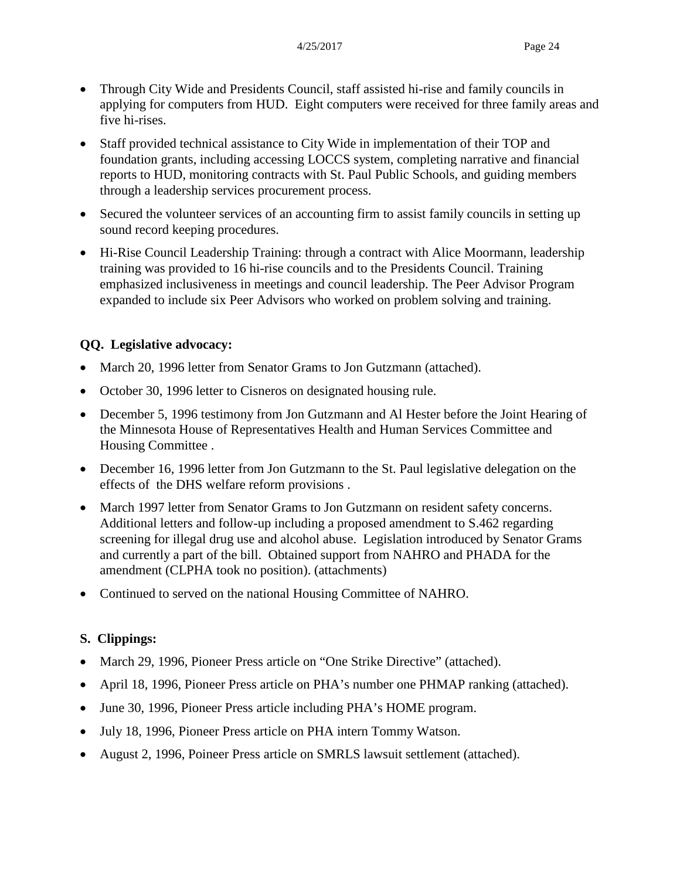- Through City Wide and Presidents Council, staff assisted hi-rise and family councils in applying for computers from HUD. Eight computers were received for three family areas and five hi-rises.
- Staff provided technical assistance to City Wide in implementation of their TOP and foundation grants, including accessing LOCCS system, completing narrative and financial reports to HUD, monitoring contracts with St. Paul Public Schools, and guiding members through a leadership services procurement process.
- Secured the volunteer services of an accounting firm to assist family councils in setting up sound record keeping procedures.
- Hi-Rise Council Leadership Training: through a contract with Alice Moormann, leadership training was provided to 16 hi-rise councils and to the Presidents Council. Training emphasized inclusiveness in meetings and council leadership. The Peer Advisor Program expanded to include six Peer Advisors who worked on problem solving and training.

### **QQ. Legislative advocacy:**

- March 20, 1996 letter from Senator Grams to Jon Gutzmann (attached).
- October 30, 1996 letter to Cisneros on designated housing rule.
- December 5, 1996 testimony from Jon Gutzmann and Al Hester before the Joint Hearing of the Minnesota House of Representatives Health and Human Services Committee and Housing Committee .
- December 16, 1996 letter from Jon Gutzmann to the St. Paul legislative delegation on the effects of the DHS welfare reform provisions .
- March 1997 letter from Senator Grams to Jon Gutzmann on resident safety concerns. Additional letters and follow-up including a proposed amendment to S.462 regarding screening for illegal drug use and alcohol abuse. Legislation introduced by Senator Grams and currently a part of the bill. Obtained support from NAHRO and PHADA for the amendment (CLPHA took no position). (attachments)
- Continued to served on the national Housing Committee of NAHRO.

### **S. Clippings:**

- March 29, 1996, Pioneer Press article on "One Strike Directive" (attached).
- April 18, 1996, Pioneer Press article on PHA's number one PHMAP ranking (attached).
- June 30, 1996, Pioneer Press article including PHA's HOME program.
- July 18, 1996, Pioneer Press article on PHA intern Tommy Watson.
- August 2, 1996, Poineer Press article on SMRLS lawsuit settlement (attached).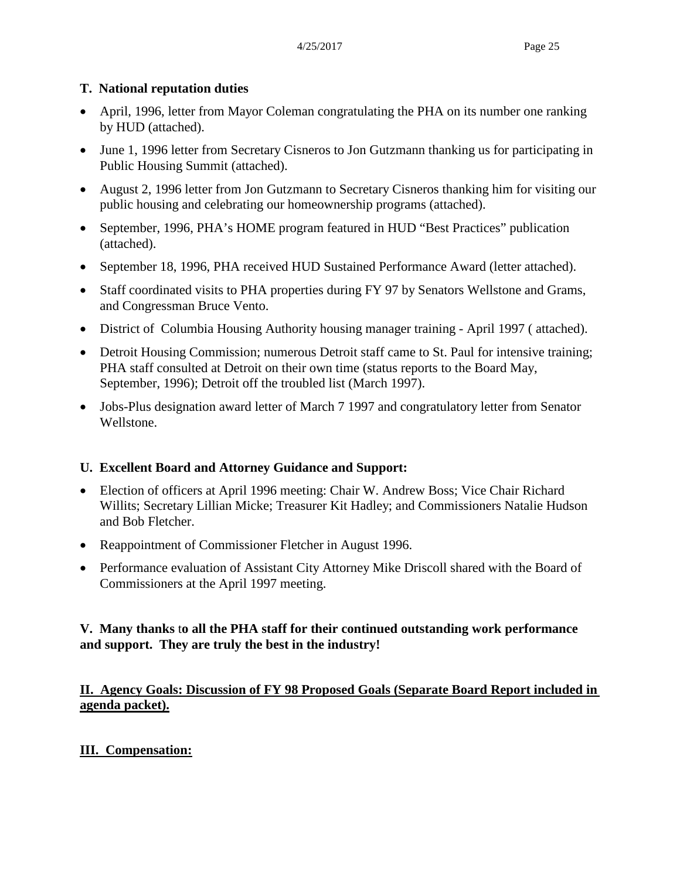#### **T. National reputation duties**

- April, 1996, letter from Mayor Coleman congratulating the PHA on its number one ranking by HUD (attached).
- June 1, 1996 letter from Secretary Cisneros to Jon Gutzmann thanking us for participating in Public Housing Summit (attached).
- August 2, 1996 letter from Jon Gutzmann to Secretary Cisneros thanking him for visiting our public housing and celebrating our homeownership programs (attached).
- September, 1996, PHA's HOME program featured in HUD "Best Practices" publication (attached).
- September 18, 1996, PHA received HUD Sustained Performance Award (letter attached).
- Staff coordinated visits to PHA properties during FY 97 by Senators Wellstone and Grams, and Congressman Bruce Vento.
- District of Columbia Housing Authority housing manager training April 1997 ( attached).
- Detroit Housing Commission; numerous Detroit staff came to St. Paul for intensive training; PHA staff consulted at Detroit on their own time (status reports to the Board May, September, 1996); Detroit off the troubled list (March 1997).
- Jobs-Plus designation award letter of March 7 1997 and congratulatory letter from Senator Wellstone.

### **U. Excellent Board and Attorney Guidance and Support:**

- Election of officers at April 1996 meeting: Chair W. Andrew Boss; Vice Chair Richard Willits; Secretary Lillian Micke; Treasurer Kit Hadley; and Commissioners Natalie Hudson and Bob Fletcher.
- Reappointment of Commissioner Fletcher in August 1996.
- Performance evaluation of Assistant City Attorney Mike Driscoll shared with the Board of Commissioners at the April 1997 meeting.

### **V. Many thanks** t**o all the PHA staff for their continued outstanding work performance and support. They are truly the best in the industry!**

### **II. Agency Goals: Discussion of FY 98 Proposed Goals (Separate Board Report included in agenda packet).**

### **III. Compensation:**